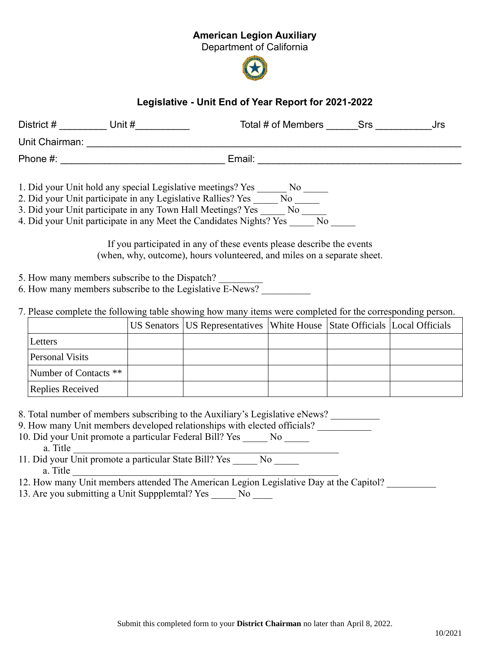## American Legion Auxiliary

Department of California



## Legislative - Unit End of Year Report for 2021-2022

| District #     | Unit #                                                                                                                      | Total # of Members | Srs<br>Jrs |
|----------------|-----------------------------------------------------------------------------------------------------------------------------|--------------------|------------|
| Unit Chairman: |                                                                                                                             |                    |            |
| Phone #:       |                                                                                                                             |                    |            |
|                | 1. Did your Unit hold any special Legislative meetings? Yes<br>2. Did your Unit participate in any Legislative Rallies? Yes | No.<br>No          |            |

3. Did your Unit participate in any Town Hall Meetings? Yes \_\_\_\_\_\_ No \_\_\_\_\_

4. Did your Unit participate in any Meet the Candidates Nights? Yes No

If you participated in any of these events please describe the events (when, why, outcome), hours volunteered, and miles on a separate sheet.

5. How many members subscribe to the Dispatch?

6. How many members subscribe to the Legislative  $\overline{E\text{-News?}}$ 

7. Please complete the following table showing how many items were completed for the corresponding person.

|                       | US Senators   US Representatives   White House   State Officials   Local Officials |  |  |
|-----------------------|------------------------------------------------------------------------------------|--|--|
| Letters               |                                                                                    |  |  |
| Personal Visits       |                                                                                    |  |  |
| Number of Contacts ** |                                                                                    |  |  |
| Replies Received      |                                                                                    |  |  |

8. Total number of members subscribing to the Auxiliary's Legislative eNews?

9. How many Unit members developed relationships with elected officials? 10. Did your Unit promote a particular Federal Bill? Yes \_\_\_\_\_ No \_\_\_\_\_ a. Title

11. Did your Unit promote a particular State Bill? Yes No a. Title

12. How many Unit members attended The American Legion Legislative Day at the Capitol?

13. Are you submitting a Unit Suppplemtal? Yes \_\_\_\_\_ No \_\_\_\_\_